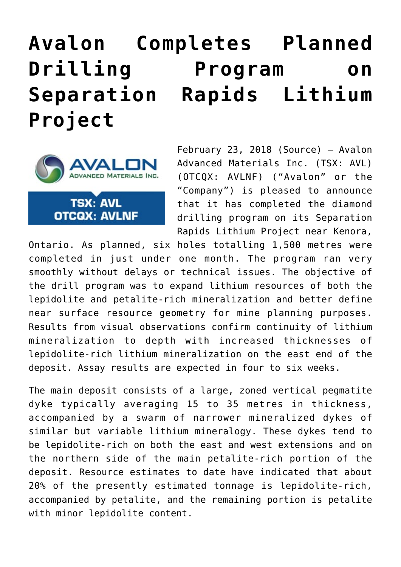## **[Avalon Completes Planned](https://investorintel.com/markets/technology-metals/technology-metals-news/avalon-completes-planned-drilling-program-separation-rapids-lithium-project/) [Drilling Program on](https://investorintel.com/markets/technology-metals/technology-metals-news/avalon-completes-planned-drilling-program-separation-rapids-lithium-project/) [Separation Rapids Lithium](https://investorintel.com/markets/technology-metals/technology-metals-news/avalon-completes-planned-drilling-program-separation-rapids-lithium-project/) [Project](https://investorintel.com/markets/technology-metals/technology-metals-news/avalon-completes-planned-drilling-program-separation-rapids-lithium-project/)**



**TSX: AVL OTCQX: AVLNF**  February 23, 2018 [\(Source\)](https://investorintel.com/iintel-members/avalon-advanced-materials-inc/) — Avalon Advanced Materials Inc. (TSX: AVL) (OTCQX: AVLNF) ("Avalon" or the "Company") is pleased to announce that it has completed the diamond drilling program on its Separation Rapids Lithium Project near Kenora,

Ontario. As planned, six holes totalling 1,500 metres were completed in just under one month. The program ran very smoothly without delays or technical issues. The objective of the drill program was to expand lithium resources of both the lepidolite and petalite-rich mineralization and better define near surface resource geometry for mine planning purposes. Results from visual observations confirm continuity of lithium mineralization to depth with increased thicknesses of lepidolite-rich lithium mineralization on the east end of the deposit. Assay results are expected in four to six weeks.

The main deposit consists of a large, zoned vertical pegmatite dyke typically averaging 15 to 35 metres in thickness, accompanied by a swarm of narrower mineralized dykes of similar but variable lithium mineralogy. These dykes tend to be lepidolite-rich on both the east and west extensions and on the northern side of the main petalite-rich portion of the deposit. Resource estimates to date have indicated that about 20% of the presently estimated tonnage is lepidolite-rich, accompanied by petalite, and the remaining portion is petalite with minor lepidolite content.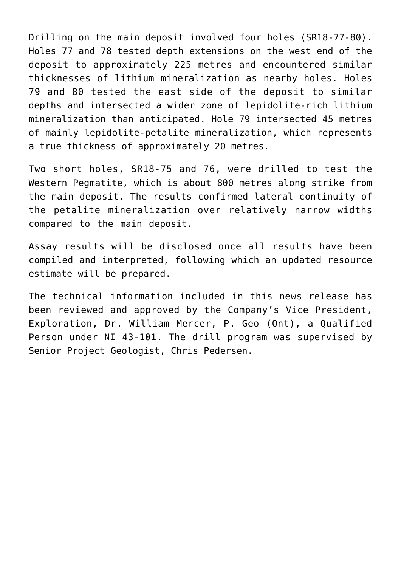Drilling on the main deposit involved four holes (SR18-77-80). Holes 77 and 78 tested depth extensions on the west end of the deposit to approximately 225 metres and encountered similar thicknesses of lithium mineralization as nearby holes. Holes 79 and 80 tested the east side of the deposit to similar depths and intersected a wider zone of lepidolite-rich lithium mineralization than anticipated. Hole 79 intersected 45 metres of mainly lepidolite-petalite mineralization, which represents a true thickness of approximately 20 metres.

Two short holes, SR18-75 and 76, were drilled to test the Western Pegmatite, which is about 800 metres along strike from the main deposit. The results confirmed lateral continuity of the petalite mineralization over relatively narrow widths compared to the main deposit.

Assay results will be disclosed once all results have been compiled and interpreted, following which an updated resource estimate will be prepared.

The technical information included in this news release has been reviewed and approved by the Company's Vice President, Exploration, Dr. William Mercer, P. Geo (Ont), a Qualified Person under NI 43-101. The drill program was supervised by Senior Project Geologist, Chris Pedersen.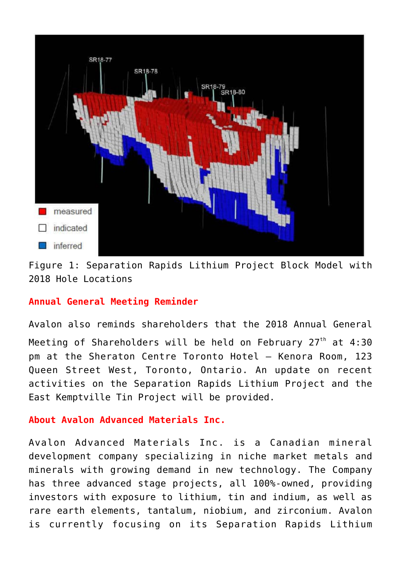

Figure 1: Separation Rapids Lithium Project Block Model with 2018 Hole Locations

## **Annual General Meeting Reminder**

Avalon also reminds shareholders that the 2018 Annual General Meeting of Shareholders will be held on February  $27<sup>th</sup>$  at 4:30 pm at the Sheraton Centre Toronto Hotel — Kenora Room, 123 Queen Street West, Toronto, Ontario. An update on recent activities on the Separation Rapids Lithium Project and the East Kemptville Tin Project will be provided.

## **About Avalon Advanced Materials Inc.**

Avalon Advanced Materials Inc. is a Canadian mineral development company specializing in niche market metals and minerals with growing demand in new technology. The Company has three advanced stage projects, all 100%-owned, providing investors with exposure to lithium, tin and indium, as well as rare earth elements, tantalum, niobium, and zirconium. Avalon is currently focusing on its Separation Rapids Lithium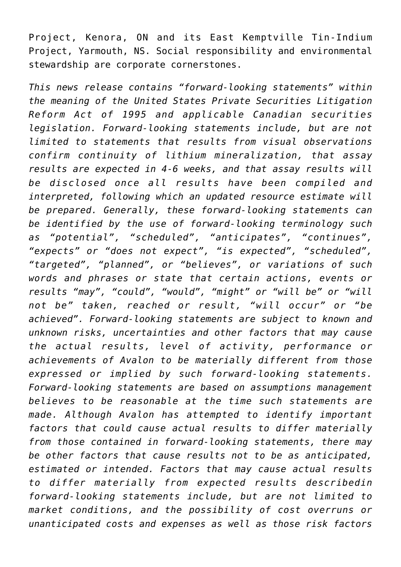Project, Kenora, ON and its East Kemptville Tin-Indium Project, Yarmouth, NS. Social responsibility and environmental stewardship are corporate cornerstones.

*This news release contains "forward-looking statements" within the meaning of the United States Private Securities Litigation Reform Act of 1995 and applicable Canadian securities legislation. Forward-looking statements include, but are not limited to statements that results from visual observations confirm continuity of lithium mineralization, that assay results are expected in 4-6 weeks, and that assay results will be disclosed once all results have been compiled and interpreted, following which an updated resource estimate will be prepared. Generally, these forward-looking statements can be identified by the use of forward-looking terminology such as "potential", "scheduled", "anticipates", "continues", "expects" or "does not expect", "is expected", "scheduled", "targeted", "planned", or "believes", or variations of such words and phrases or state that certain actions, events or results "may", "could", "would", "might" or "will be" or "will not be" taken, reached or result, "will occur" or "be achieved". Forward-looking statements are subject to known and unknown risks, uncertainties and other factors that may cause the actual results, level of activity, performance or achievements of Avalon to be materially different from those expressed or implied by such forward-looking statements. Forward-looking statements are based on assumptions management believes to be reasonable at the time such statements are made. Although Avalon has attempted to identify important factors that could cause actual results to differ materially from those contained in forward-looking statements, there may be other factors that cause results not to be as anticipated, estimated or intended. Factors that may cause actual results to differ materially from expected results describedin forward-looking statements include, but are not limited to market conditions, and the possibility of cost overruns or unanticipated costs and expenses as well as those risk factors*